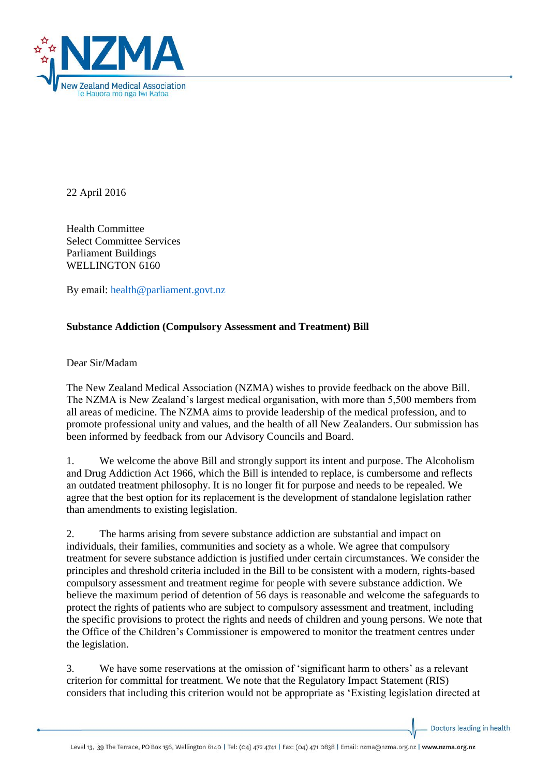

22 April 2016

Health Committee Select Committee Services Parliament Buildings WELLINGTON 6160

By email: [health@parliament.govt.nz](mailto:health@parliament.govt.nz)

## **Substance Addiction (Compulsory Assessment and Treatment) Bill**

Dear Sir/Madam

The New Zealand Medical Association (NZMA) wishes to provide feedback on the above Bill. The NZMA is New Zealand's largest medical organisation, with more than 5,500 members from all areas of medicine. The NZMA aims to provide leadership of the medical profession, and to promote professional unity and values, and the health of all New Zealanders. Our submission has been informed by feedback from our Advisory Councils and Board.

1. We welcome the above Bill and strongly support its intent and purpose. The Alcoholism and Drug Addiction Act 1966, which the Bill is intended to replace, is cumbersome and reflects an outdated treatment philosophy. It is no longer fit for purpose and needs to be repealed. We agree that the best option for its replacement is the development of standalone legislation rather than amendments to existing legislation.

2. The harms arising from severe substance addiction are substantial and impact on individuals, their families, communities and society as a whole. We agree that compulsory treatment for severe substance addiction is justified under certain circumstances. We consider the principles and threshold criteria included in the Bill to be consistent with a modern, rights-based compulsory assessment and treatment regime for people with severe substance addiction. We believe the maximum period of detention of 56 days is reasonable and welcome the safeguards to protect the rights of patients who are subject to compulsory assessment and treatment, including the specific provisions to protect the rights and needs of children and young persons. We note that the Office of the Children's Commissioner is empowered to monitor the treatment centres under the legislation.

3. We have some reservations at the omission of 'significant harm to others' as a relevant criterion for committal for treatment. We note that the Regulatory Impact Statement (RIS) considers that including this criterion would not be appropriate as 'Existing legislation directed at

Doctors leading in health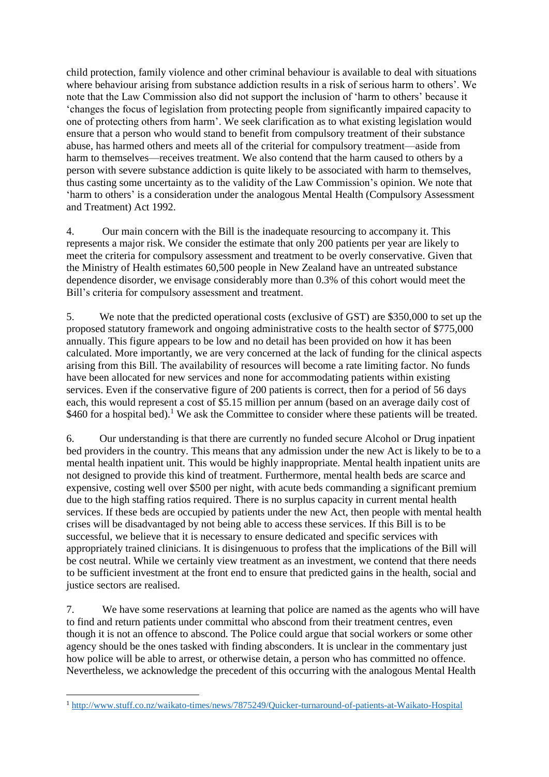child protection, family violence and other criminal behaviour is available to deal with situations where behaviour arising from substance addiction results in a risk of serious harm to others'. We note that the Law Commission also did not support the inclusion of 'harm to others' because it 'changes the focus of legislation from protecting people from significantly impaired capacity to one of protecting others from harm'. We seek clarification as to what existing legislation would ensure that a person who would stand to benefit from compulsory treatment of their substance abuse, has harmed others and meets all of the criterial for compulsory treatment—aside from harm to themselves—receives treatment. We also contend that the harm caused to others by a person with severe substance addiction is quite likely to be associated with harm to themselves, thus casting some uncertainty as to the validity of the Law Commission's opinion. We note that 'harm to others' is a consideration under the analogous Mental Health (Compulsory Assessment and Treatment) Act 1992.

4. Our main concern with the Bill is the inadequate resourcing to accompany it. This represents a major risk. We consider the estimate that only 200 patients per year are likely to meet the criteria for compulsory assessment and treatment to be overly conservative. Given that the Ministry of Health estimates 60,500 people in New Zealand have an untreated substance dependence disorder, we envisage considerably more than 0.3% of this cohort would meet the Bill's criteria for compulsory assessment and treatment.

5. We note that the predicted operational costs (exclusive of GST) are \$350,000 to set up the proposed statutory framework and ongoing administrative costs to the health sector of \$775,000 annually. This figure appears to be low and no detail has been provided on how it has been calculated. More importantly, we are very concerned at the lack of funding for the clinical aspects arising from this Bill. The availability of resources will become a rate limiting factor. No funds have been allocated for new services and none for accommodating patients within existing services. Even if the conservative figure of 200 patients is correct, then for a period of 56 days each, this would represent a cost of \$5.15 million per annum (based on an average daily cost of \$460 for a hospital bed).<sup>1</sup> We ask the Committee to consider where these patients will be treated.

6. Our understanding is that there are currently no funded secure Alcohol or Drug inpatient bed providers in the country. This means that any admission under the new Act is likely to be to a mental health inpatient unit. This would be highly inappropriate. Mental health inpatient units are not designed to provide this kind of treatment. Furthermore, mental health beds are scarce and expensive, costing well over \$500 per night, with acute beds commanding a significant premium due to the high staffing ratios required. There is no surplus capacity in current mental health services. If these beds are occupied by patients under the new Act, then people with mental health crises will be disadvantaged by not being able to access these services. If this Bill is to be successful, we believe that it is necessary to ensure dedicated and specific services with appropriately trained clinicians. It is disingenuous to profess that the implications of the Bill will be cost neutral. While we certainly view treatment as an investment, we contend that there needs to be sufficient investment at the front end to ensure that predicted gains in the health, social and justice sectors are realised.

7. We have some reservations at learning that police are named as the agents who will have to find and return patients under committal who abscond from their treatment centres, even though it is not an offence to abscond. The Police could argue that social workers or some other agency should be the ones tasked with finding absconders. It is unclear in the commentary just how police will be able to arrest, or otherwise detain, a person who has committed no offence. Nevertheless, we acknowledge the precedent of this occurring with the analogous Mental Health

**.** 

<sup>1</sup> <http://www.stuff.co.nz/waikato-times/news/7875249/Quicker-turnaround-of-patients-at-Waikato-Hospital>